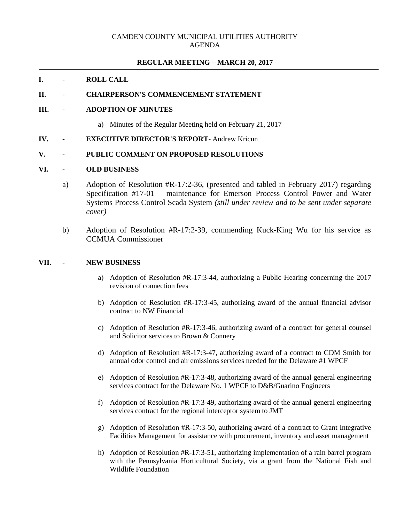## **REGULAR MEETING – MARCH 20, 2017**

## **I. - ROLL CALL**

## **II. - CHAIRPERSON'S COMMENCEMENT STATEMENT**

## **III. - ADOPTION OF MINUTES**

- a) Minutes of the Regular Meeting held on February 21, 2017
- **IV. - EXECUTIVE DIRECTOR'S REPORT** Andrew Kricun

## **V. - PUBLIC COMMENT ON PROPOSED RESOLUTIONS**

## **VI. - OLD BUSINESS**

- a) Adoption of Resolution #R-17:2-36, (presented and tabled in February 2017) regarding Specification #17-01 – maintenance for Emerson Process Control Power and Water Systems Process Control Scada System *(still under review and to be sent under separate cover)*
- b) Adoption of Resolution #R-17:2-39, commending Kuck-King Wu for his service as CCMUA Commissioner

#### **VII. - NEW BUSINESS**

- a) Adoption of Resolution #R-17:3-44, authorizing a Public Hearing concerning the 2017 revision of connection fees
- b) Adoption of Resolution #R-17:3-45, authorizing award of the annual financial advisor contract to NW Financial
- c) Adoption of Resolution #R-17:3-46, authorizing award of a contract for general counsel and Solicitor services to Brown & Connery
- d) Adoption of Resolution #R-17:3-47, authorizing award of a contract to CDM Smith for annual odor control and air emissions services needed for the Delaware #1 WPCF
- e) Adoption of Resolution #R-17:3-48, authorizing award of the annual general engineering services contract for the Delaware No. 1 WPCF to D&B/Guarino Engineers
- f) Adoption of Resolution #R-17:3-49, authorizing award of the annual general engineering services contract for the regional interceptor system to JMT
- g) Adoption of Resolution #R-17:3-50, authorizing award of a contract to Grant Integrative Facilities Management for assistance with procurement, inventory and asset management
- h) Adoption of Resolution #R-17:3-51, authorizing implementation of a rain barrel program with the Pennsylvania Horticultural Society, via a grant from the National Fish and Wildlife Foundation